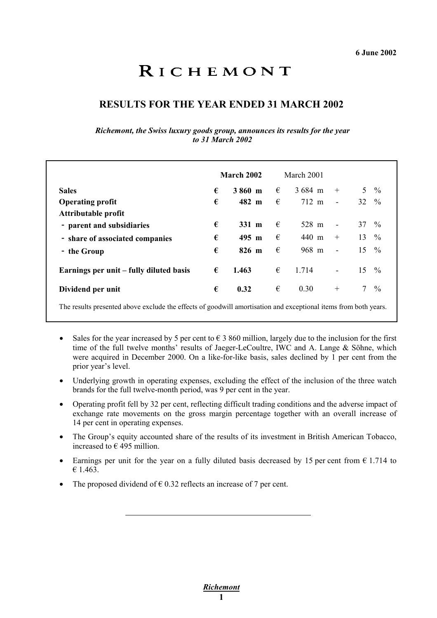# RICHEMONT

# **RESULTS FOR THE YEAR ENDED 31 MARCH 2002**

*Richemont, the Swiss luxury goods group, announces its results for the year to 31 March 2002* 

|                                         |   | March 2002      |   | March 2001         |                          |                  |               |
|-----------------------------------------|---|-----------------|---|--------------------|--------------------------|------------------|---------------|
| <b>Sales</b>                            | € | 3860 m          | € | $3684 \; \text{m}$ | $+$                      | 5 <sup>1</sup>   | $\frac{0}{0}$ |
| <b>Operating profit</b>                 | € | 482 m           | € | 712 m              | $\overline{\phantom{a}}$ | $32 \frac{9}{6}$ |               |
| Attributable profit                     |   |                 |   |                    |                          |                  |               |
| - parent and subsidiaries               | € | $331 \text{ m}$ | € | 528 m              | $\blacksquare$           | $37 \frac{9}{6}$ |               |
| - share of associated companies         | € | $495$ m         | € | 440 m              | $+$                      | $13 \frac{9}{6}$ |               |
| - the Group                             | € | $826$ m         | € | 968 m              | $\blacksquare$           | 15               | $\frac{0}{0}$ |
| Earnings per unit – fully diluted basis | € | 1.463           | € | 1.714              | $\blacksquare$           | 15               | $\frac{0}{0}$ |
| Dividend per unit                       | € | 0.32            | € | 0.30               | $^{+}$                   | $7\overline{ }$  | $\frac{0}{0}$ |
|                                         |   |                 |   |                    |                          |                  |               |

The results presented above exclude the effects of goodwill amortisation and exceptional items from both years.

- -Sales for the year increased by 5 per cent to  $\epsilon$  3 860 million, largely due to the inclusion for the first time of the full twelve months' results of Jaeger-LeCoultre, IWC and A. Lange & Söhne, which were acquired in December 2000. On a like-for-like basis, sales declined by 1 per cent from the prior year's level.
- Underlying growth in operating expenses, excluding the effect of the inclusion of the three watch brands for the full twelve-month period, was 9 per cent in the year.
- $\bullet$  Operating profit fell by 32 per cent, reflecting difficult trading conditions and the adverse impact of exchange rate movements on the gross margin percentage together with an overall increase of 14 per cent in operating expenses.
- - The Group's equity accounted share of the results of its investment in British American Tobacco, increased to  $\epsilon$  495 million.
- Earnings per unit for the year on a fully diluted basis decreased by 15 per cent from  $\epsilon$  1.714 to € 1.463.
- -The proposed dividend of  $\epsilon$  0.32 reflects an increase of 7 per cent.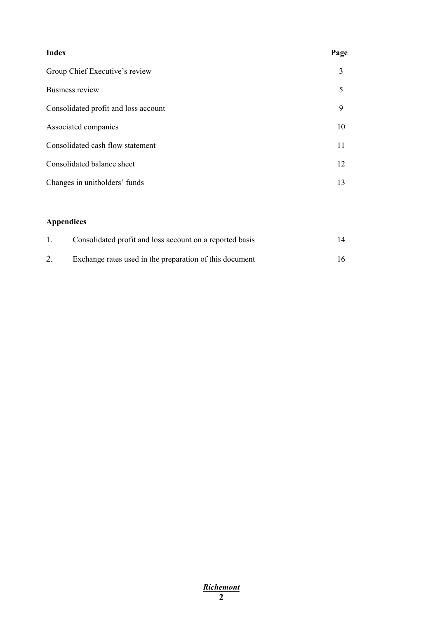| <b>Index</b>                         | Page |
|--------------------------------------|------|
| Group Chief Executive's review       | 3    |
| Business review                      | 5    |
| Consolidated profit and loss account | 9    |
| Associated companies                 | 10   |
| Consolidated cash flow statement     | 11   |
| Consolidated balance sheet           | 12   |
| Changes in unitholders' funds        | 13   |
|                                      |      |
| <b>Appendices</b>                    |      |

|    | Consolidated profit and loss account on a reported basis | 14 |
|----|----------------------------------------------------------|----|
| 2. | Exchange rates used in the preparation of this document  | 16 |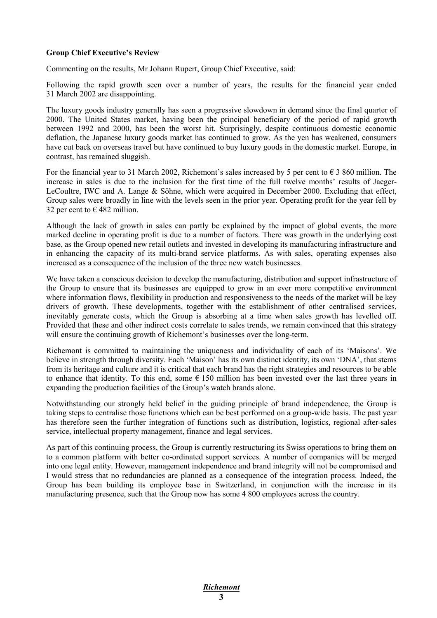#### **Group Chief Executive's Review**

Commenting on the results, Mr Johann Rupert, Group Chief Executive, said:

Following the rapid growth seen over a number of years, the results for the financial year ended 31 March 2002 are disappointing.

The luxury goods industry generally has seen a progressive slowdown in demand since the final quarter of 2000. The United States market, having been the principal beneficiary of the period of rapid growth between 1992 and 2000, has been the worst hit. Surprisingly, despite continuous domestic economic deflation, the Japanese luxury goods market has continued to grow. As the yen has weakened, consumers have cut back on overseas travel but have continued to buy luxury goods in the domestic market. Europe, in contrast, has remained sluggish.

For the financial year to 31 March 2002, Richemont's sales increased by 5 per cent to  $\epsilon$  3 860 million. The increase in sales is due to the inclusion for the first time of the full twelve months' results of Jaeger-LeCoultre, IWC and A. Lange & Söhne, which were acquired in December 2000. Excluding that effect, Group sales were broadly in line with the levels seen in the prior year. Operating profit for the year fell by 32 per cent to  $\epsilon$  482 million.

Although the lack of growth in sales can partly be explained by the impact of global events, the more marked decline in operating profit is due to a number of factors. There was growth in the underlying cost base, as the Group opened new retail outlets and invested in developing its manufacturing infrastructure and in enhancing the capacity of its multi-brand service platforms. As with sales, operating expenses also increased as a consequence of the inclusion of the three new watch businesses.

We have taken a conscious decision to develop the manufacturing, distribution and support infrastructure of the Group to ensure that its businesses are equipped to grow in an ever more competitive environment where information flows, flexibility in production and responsiveness to the needs of the market will be key drivers of growth. These developments, together with the establishment of other centralised services, inevitably generate costs, which the Group is absorbing at a time when sales growth has levelled off. Provided that these and other indirect costs correlate to sales trends, we remain convinced that this strategy will ensure the continuing growth of Richemont's businesses over the long-term.

Richemont is committed to maintaining the uniqueness and individuality of each of its 'Maisons'. We believe in strength through diversity. Each 'Maison' has its own distinct identity, its own 'DNA', that stems from its heritage and culture and it is critical that each brand has the right strategies and resources to be able to enhance that identity. To this end, some  $\epsilon$  150 million has been invested over the last three years in expanding the production facilities of the Group's watch brands alone.

Notwithstanding our strongly held belief in the guiding principle of brand independence, the Group is taking steps to centralise those functions which can be best performed on a group-wide basis. The past year has therefore seen the further integration of functions such as distribution, logistics, regional after-sales service, intellectual property management, finance and legal services.

As part of this continuing process, the Group is currently restructuring its Swiss operations to bring them on to a common platform with better co-ordinated support services. A number of companies will be merged into one legal entity. However, management independence and brand integrity will not be compromised and I would stress that no redundancies are planned as a consequence of the integration process. Indeed, the Group has been building its employee base in Switzerland, in conjunction with the increase in its manufacturing presence, such that the Group now has some 4 800 employees across the country.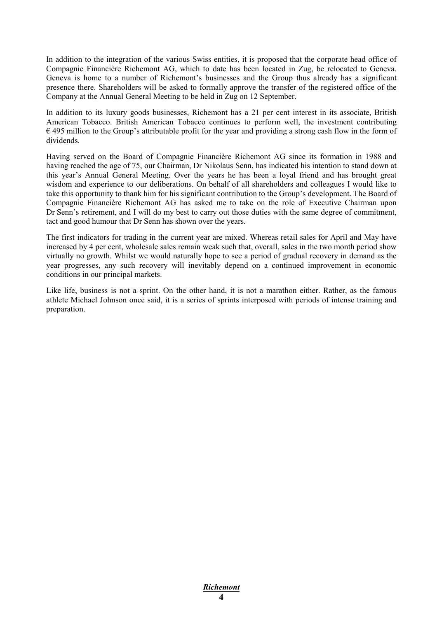In addition to the integration of the various Swiss entities, it is proposed that the corporate head office of Compagnie Financière Richemont AG, which to date has been located in Zug, be relocated to Geneva. Geneva is home to a number of Richemont's businesses and the Group thus already has a significant presence there. Shareholders will be asked to formally approve the transfer of the registered office of the Company at the Annual General Meeting to be held in Zug on 12 September.

In addition to its luxury goods businesses, Richemont has a 21 per cent interest in its associate, British American Tobacco. British American Tobacco continues to perform well, the investment contributing  $\epsilon$  495 million to the Group's attributable profit for the year and providing a strong cash flow in the form of dividends.

Having served on the Board of Compagnie Financière Richemont AG since its formation in 1988 and having reached the age of 75, our Chairman, Dr Nikolaus Senn, has indicated his intention to stand down at this year's Annual General Meeting. Over the years he has been a loyal friend and has brought great wisdom and experience to our deliberations. On behalf of all shareholders and colleagues I would like to take this opportunity to thank him for his significant contribution to the Group's development. The Board of Compagnie Financière Richemont AG has asked me to take on the role of Executive Chairman upon Dr Senn's retirement, and I will do my best to carry out those duties with the same degree of commitment, tact and good humour that Dr Senn has shown over the years.

The first indicators for trading in the current year are mixed. Whereas retail sales for April and May have increased by 4 per cent, wholesale sales remain weak such that, overall, sales in the two month period show virtually no growth. Whilst we would naturally hope to see a period of gradual recovery in demand as the year progresses, any such recovery will inevitably depend on a continued improvement in economic conditions in our principal markets.

Like life, business is not a sprint. On the other hand, it is not a marathon either. Rather, as the famous athlete Michael Johnson once said, it is a series of sprints interposed with periods of intense training and preparation.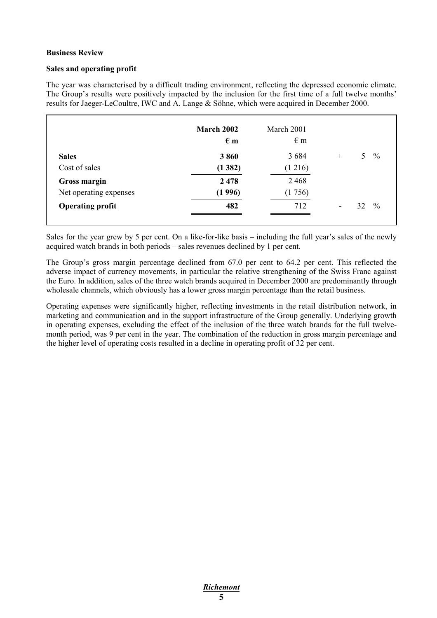#### **Business Review**

#### **Sales and operating profit**

The year was characterised by a difficult trading environment, reflecting the depressed economic climate. The Group's results were positively impacted by the inclusion for the first time of a full twelve months' results for Jaeger-LeCoultre, IWC and A. Lange & Söhne, which were acquired in December 2000.

|                         | March 2002<br>$\epsilon$ m | March 2001<br>$\epsilon$ m |                          |       |               |
|-------------------------|----------------------------|----------------------------|--------------------------|-------|---------------|
| <b>Sales</b>            | 3860                       | 3 6 8 4                    | $^{+}$                   | $5 -$ | $\frac{0}{0}$ |
| Cost of sales           | (1382)                     | (1 216)                    |                          |       |               |
| Gross margin            | 2 4 7 8                    | 2 4 6 8                    |                          |       |               |
| Net operating expenses  | (1996)                     | (1756)                     |                          |       |               |
| <b>Operating profit</b> | 482                        | 712                        | $\overline{\phantom{a}}$ | 32    | $\frac{0}{0}$ |

Sales for the year grew by 5 per cent. On a like-for-like basis – including the full year's sales of the newly acquired watch brands in both periods – sales revenues declined by 1 per cent.

The Group's gross margin percentage declined from 67.0 per cent to 64.2 per cent. This reflected the adverse impact of currency movements, in particular the relative strengthening of the Swiss Franc against the Euro. In addition, sales of the three watch brands acquired in December 2000 are predominantly through wholesale channels, which obviously has a lower gross margin percentage than the retail business.

Operating expenses were significantly higher, reflecting investments in the retail distribution network, in marketing and communication and in the support infrastructure of the Group generally. Underlying growth in operating expenses, excluding the effect of the inclusion of the three watch brands for the full twelvemonth period, was 9 per cent in the year. The combination of the reduction in gross margin percentage and the higher level of operating costs resulted in a decline in operating profit of 32 per cent.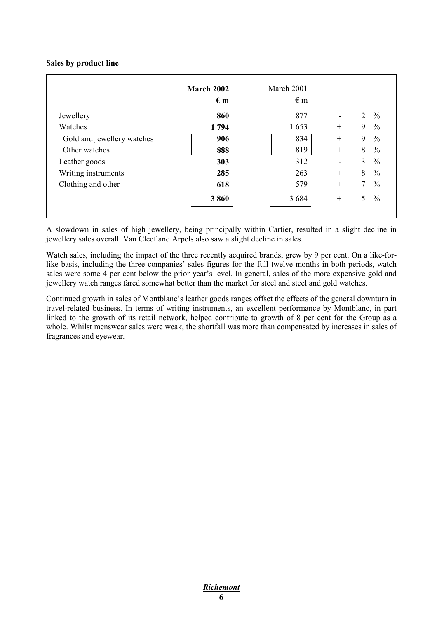#### **Sales by product line**

|                            | March 2002<br>$\epsilon$ m | March 2001<br>$\epsilon$ m |                          |                |               |
|----------------------------|----------------------------|----------------------------|--------------------------|----------------|---------------|
| Jewellery                  | 860                        | 877                        | $\blacksquare$           | $\overline{2}$ | $\frac{0}{0}$ |
| Watches                    | 1794                       | 1653                       | $^{+}$                   | 9              | $\frac{0}{0}$ |
| Gold and jewellery watches | 906                        | 834                        | $^{+}$                   | 9              | $\frac{0}{0}$ |
| Other watches              | 888                        | 819                        | $^{+}$                   | 8              | $\frac{0}{0}$ |
| Leather goods              | 303                        | 312                        | $\overline{\phantom{a}}$ | 3              | $\frac{0}{0}$ |
| Writing instruments        | 285                        | 263                        | $^{+}$                   | 8              | $\frac{0}{0}$ |
| Clothing and other         | 618                        | 579                        | $^{+}$                   | $\tau$         | $\frac{0}{0}$ |
|                            | 3860                       | 3 6 8 4                    | $^{+}$                   | 5              | $\frac{0}{0}$ |

A slowdown in sales of high jewellery, being principally within Cartier, resulted in a slight decline in jewellery sales overall. Van Cleef and Arpels also saw a slight decline in sales.

Watch sales, including the impact of the three recently acquired brands, grew by 9 per cent. On a like-forlike basis, including the three companies' sales figures for the full twelve months in both periods, watch sales were some 4 per cent below the prior year's level. In general, sales of the more expensive gold and jewellery watch ranges fared somewhat better than the market for steel and steel and gold watches.

Continued growth in sales of Montblanc's leather goods ranges offset the effects of the general downturn in travel-related business. In terms of writing instruments, an excellent performance by Montblanc, in part linked to the growth of its retail network, helped contribute to growth of 8 per cent for the Group as a whole. Whilst menswear sales were weak, the shortfall was more than compensated by increases in sales of fragrances and eyewear.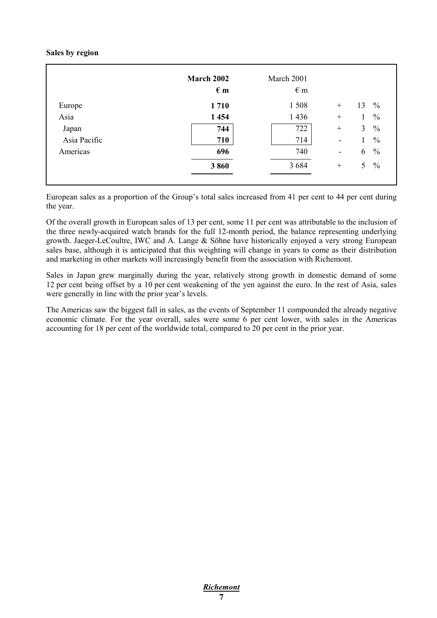#### **Sales by region**

|              | <b>March 2002</b><br>$\epsilon$ m | March 2001<br>$\epsilon$ m |                              |                |               |
|--------------|-----------------------------------|----------------------------|------------------------------|----------------|---------------|
| Europe       | 1710                              | 1508                       | $^{+}$                       | 13             | $\frac{0}{0}$ |
| Asia         | 1 4 5 4                           | 1 4 3 6                    | $^{+}$                       |                | $\frac{0}{0}$ |
| Japan        | 744                               | 722                        | $^{+}$                       | 3              | $\frac{0}{0}$ |
| Asia Pacific | 710                               | 714                        | $\qquad \qquad \blacksquare$ |                | $\frac{0}{0}$ |
| Americas     | 696                               | 740                        | $\qquad \qquad \blacksquare$ | 6              | $\frac{0}{0}$ |
|              | 3860                              | 3 6 8 4                    | $^{+}$                       | 5 <sup>1</sup> | $\frac{0}{0}$ |

European sales as a proportion of the Group's total sales increased from 41 per cent to 44 per cent during the year.

Of the overall growth in European sales of 13 per cent, some 11 per cent was attributable to the inclusion of the three newly-acquired watch brands for the full 12-month period, the balance representing underlying growth. Jaeger-LeCoultre, IWC and A. Lange & Söhne have historically enjoyed a very strong European sales base, although it is anticipated that this weighting will change in years to come as their distribution and marketing in other markets will increasingly benefit from the association with Richemont.

Sales in Japan grew marginally during the year, relatively strong growth in domestic demand of some 12 per cent being offset by a 10 per cent weakening of the yen against the euro. In the rest of Asia, sales were generally in line with the prior year's levels.

The Americas saw the biggest fall in sales, as the events of September 11 compounded the already negative economic climate. For the year overall, sales were some 6 per cent lower, with sales in the Americas accounting for 18 per cent of the worldwide total, compared to 20 per cent in the prior year.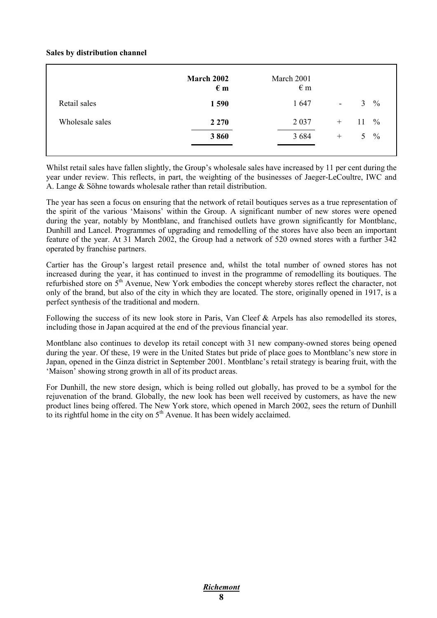#### **Sales by distribution channel**

|                 | March 2002<br>$\epsilon$ m | March 2001<br>$\epsilon$ m |                |    |               |
|-----------------|----------------------------|----------------------------|----------------|----|---------------|
| Retail sales    | 1 5 9 0                    | 1647                       | $\blacksquare$ | 3  | $\frac{0}{0}$ |
| Wholesale sales | 2 2 7 0                    | 2 0 3 7                    | $^{+}$         | 11 | $\frac{0}{0}$ |
|                 | 3860                       | 3 6 8 4                    | $^{+}$         | 5. | $\frac{0}{0}$ |
|                 |                            |                            |                |    |               |

Whilst retail sales have fallen slightly, the Group's wholesale sales have increased by 11 per cent during the year under review. This reflects, in part, the weighting of the businesses of Jaeger-LeCoultre, IWC and A. Lange & Söhne towards wholesale rather than retail distribution.

The year has seen a focus on ensuring that the network of retail boutiques serves as a true representation of the spirit of the various 'Maisons' within the Group. A significant number of new stores were opened during the year, notably by Montblanc, and franchised outlets have grown significantly for Montblanc, Dunhill and Lancel. Programmes of upgrading and remodelling of the stores have also been an important feature of the year. At 31 March 2002, the Group had a network of 520 owned stores with a further 342 operated by franchise partners.

Cartier has the Group's largest retail presence and, whilst the total number of owned stores has not increased during the year, it has continued to invest in the programme of remodelling its boutiques. The refurbished store on 5th Avenue, New York embodies the concept whereby stores reflect the character, not only of the brand, but also of the city in which they are located. The store, originally opened in 1917, is a perfect synthesis of the traditional and modern.

Following the success of its new look store in Paris, Van Cleef & Arpels has also remodelled its stores, including those in Japan acquired at the end of the previous financial year.

Montblanc also continues to develop its retail concept with 31 new company-owned stores being opened during the year. Of these, 19 were in the United States but pride of place goes to Montblanc's new store in Japan, opened in the Ginza district in September 2001. Montblanc's retail strategy is bearing fruit, with the 'Maison' showing strong growth in all of its product areas.

For Dunhill, the new store design, which is being rolled out globally, has proved to be a symbol for the rejuvenation of the brand. Globally, the new look has been well received by customers, as have the new product lines being offered. The New York store, which opened in March 2002, sees the return of Dunhill to its rightful home in the city on  $5<sup>th</sup>$  Avenue. It has been widely acclaimed.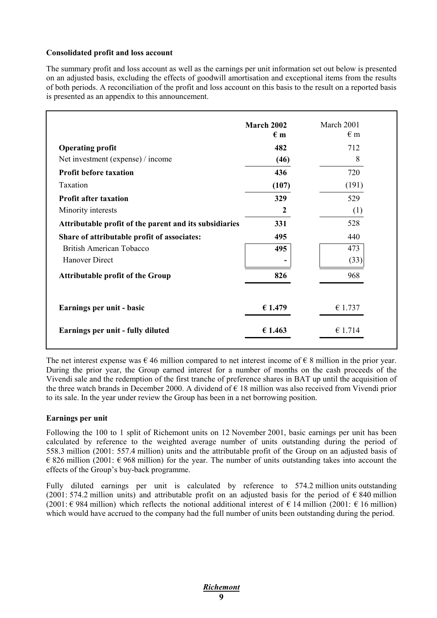#### **Consolidated profit and loss account**

The summary profit and loss account as well as the earnings per unit information set out below is presented on an adjusted basis, excluding the effects of goodwill amortisation and exceptional items from the results of both periods. A reconciliation of the profit and loss account on this basis to the result on a reported basis is presented as an appendix to this announcement.

|                                                        | <b>March 2002</b><br>$\epsilon$ m | March 2001<br>$\epsilon$ m |
|--------------------------------------------------------|-----------------------------------|----------------------------|
| <b>Operating profit</b>                                | 482                               | 712                        |
| Net investment (expense) / income                      | (46)                              | 8                          |
| <b>Profit before taxation</b>                          | 436                               | 720                        |
| Taxation                                               | (107)                             | (191)                      |
| <b>Profit after taxation</b>                           | 329                               | 529                        |
| Minority interests                                     | $\boldsymbol{2}$                  | (1)                        |
| Attributable profit of the parent and its subsidiaries | 331                               | 528                        |
| Share of attributable profit of associates:            | 495                               | 440                        |
| <b>British American Tobacco</b>                        | 495                               | 473                        |
| <b>Hanover Direct</b>                                  |                                   | (33)                       |
| <b>Attributable profit of the Group</b>                | 826                               | 968                        |
| Earnings per unit - basic                              | € 1.479                           | €1.737                     |
| Earnings per unit - fully diluted                      | € 1.463                           | € 1.714                    |

The net interest expense was  $\epsilon$  46 million compared to net interest income of  $\epsilon$  8 million in the prior year. During the prior year, the Group earned interest for a number of months on the cash proceeds of the Vivendi sale and the redemption of the first tranche of preference shares in BAT up until the acquisition of the three watch brands in December 2000. A dividend of  $\epsilon$  18 million was also received from Vivendi prior to its sale. In the year under review the Group has been in a net borrowing position.

#### **Earnings per unit**

Following the 100 to 1 split of Richemont units on 12 November 2001, basic earnings per unit has been calculated by reference to the weighted average number of units outstanding during the period of 558.3 million (2001: 557.4 million) units and the attributable profit of the Group on an adjusted basis of  $\epsilon$  826 million (2001:  $\epsilon$  968 million) for the year. The number of units outstanding takes into account the effects of the Group's buy-back programme.

Fully diluted earnings per unit is calculated by reference to 574.2 million units outstanding (2001: 574.2 million units) and attributable profit on an adjusted basis for the period of  $\epsilon$  840 million (2001:  $\in$  984 million) which reflects the notional additional interest of  $\in$  14 million (2001:  $\in$  16 million) which would have accrued to the company had the full number of units been outstanding during the period.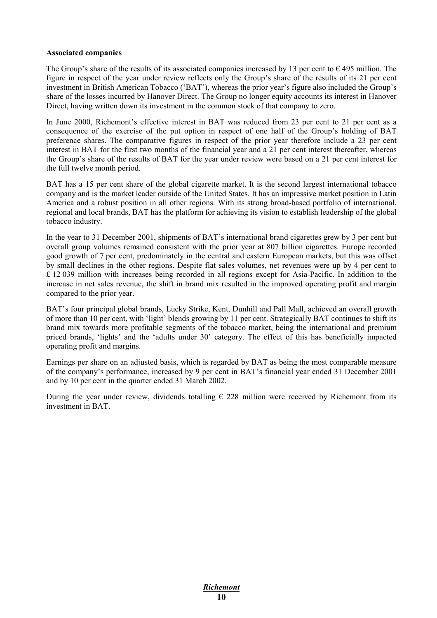#### **Associated companies**

The Group's share of the results of its associated companies increased by 13 per cent to  $\epsilon$  495 million. The figure in respect of the year under review reflects only the Group's share of the results of its 21 per cent investment in British American Tobacco ('BAT'), whereas the prior year's figure also included the Group's share of the losses incurred by Hanover Direct. The Group no longer equity accounts its interest in Hanover Direct, having written down its investment in the common stock of that company to zero.

In June 2000, Richemont's effective interest in BAT was reduced from 23 per cent to 21 per cent as a consequence of the exercise of the put option in respect of one half of the Group's holding of BAT preference shares. The comparative figures in respect of the prior year therefore include a 23 per cent interest in BAT for the first two months of the financial year and a 21 per cent interest thereafter, whereas the Group's share of the results of BAT for the year under review were based on a 21 per cent interest for the full twelve month period.

BAT has a 15 per cent share of the global cigarette market. It is the second largest international tobacco company and is the market leader outside of the United States. It has an impressive market position in Latin America and a robust position in all other regions. With its strong broad-based portfolio of international, regional and local brands, BAT has the platform for achieving its vision to establish leadership of the global tobacco industry.

In the year to 31 December 2001, shipments of BAT's international brand cigarettes grew by 3 per cent but overall group volumes remained consistent with the prior year at 807 billion cigarettes. Europe recorded good growth of 7 per cent, predominately in the central and eastern European markets, but this was offset by small declines in the other regions. Despite flat sales volumes, net revenues were up by 4 per cent to £ 12 039 million with increases being recorded in all regions except for Asia-Pacific. In addition to the increase in net sales revenue, the shift in brand mix resulted in the improved operating profit and margin compared to the prior year.

BAT's four principal global brands, Lucky Strike, Kent, Dunhill and Pall Mall, achieved an overall growth of more than 10 per cent, with 'light' blends growing by 11 per cent. Strategically BAT continues to shift its brand mix towards more profitable segments of the tobacco market, being the international and premium priced brands, 'lights' and the 'adults under 30' category. The effect of this has beneficially impacted operating profit and margins.

Earnings per share on an adjusted basis, which is regarded by BAT as being the most comparable measure of the company's performance, increased by 9 per cent in BAT's financial year ended 31 December 2001 and by 10 per cent in the quarter ended 31 March 2002.

During the year under review, dividends totalling  $\epsilon$  228 million were received by Richemont from its investment in BAT.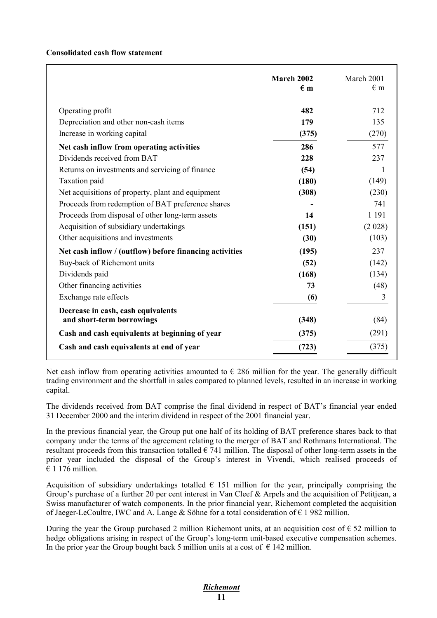#### **Consolidated cash flow statement**

|                                                                 | March 2002<br>$\epsilon$ m | March 2001<br>$\epsilon$ m |
|-----------------------------------------------------------------|----------------------------|----------------------------|
| Operating profit                                                | 482                        | 712                        |
| Depreciation and other non-cash items                           | 179                        | 135                        |
| Increase in working capital                                     | (375)                      | (270)                      |
| Net cash inflow from operating activities                       | 286                        | 577                        |
| Dividends received from BAT                                     | 228                        | 237                        |
| Returns on investments and servicing of finance                 | (54)                       | 1                          |
| Taxation paid                                                   | (180)                      | (149)                      |
| Net acquisitions of property, plant and equipment               | (308)                      | (230)                      |
| Proceeds from redemption of BAT preference shares               |                            | 741                        |
| Proceeds from disposal of other long-term assets                | 14                         | 1 1 9 1                    |
| Acquisition of subsidiary undertakings                          | (151)                      | (2028)                     |
| Other acquisitions and investments                              | (30)                       | (103)                      |
| Net cash inflow / (outflow) before financing activities         | (195)                      | 237                        |
| Buy-back of Richemont units                                     | (52)                       | (142)                      |
| Dividends paid                                                  | (168)                      | (134)                      |
| Other financing activities                                      | 73                         | (48)                       |
| Exchange rate effects                                           | (6)                        | 3                          |
| Decrease in cash, cash equivalents<br>and short-term borrowings |                            | (84)                       |
|                                                                 | (348)                      |                            |
| Cash and cash equivalents at beginning of year                  | (375)                      | (291)                      |
| Cash and cash equivalents at end of year                        | (723)                      | (375)                      |

Net cash inflow from operating activities amounted to  $\epsilon$  286 million for the year. The generally difficult trading environment and the shortfall in sales compared to planned levels, resulted in an increase in working capital.

The dividends received from BAT comprise the final dividend in respect of BAT's financial year ended 31 December 2000 and the interim dividend in respect of the 2001 financial year.

In the previous financial year, the Group put one half of its holding of BAT preference shares back to that company under the terms of the agreement relating to the merger of BAT and Rothmans International. The resultant proceeds from this transaction totalled  $\epsilon$  741 million. The disposal of other long-term assets in the prior year included the disposal of the Group's interest in Vivendi, which realised proceeds of  $€ 1176$  million.

Acquisition of subsidiary undertakings totalled  $\epsilon$  151 million for the year, principally comprising the Group's purchase of a further 20 per cent interest in Van Cleef & Arpels and the acquisition of Petitiean, a Swiss manufacturer of watch components. In the prior financial year, Richemont completed the acquisition of Jaeger-LeCoultre, IWC and A. Lange & Söhne for a total consideration of  $\epsilon$  1 982 million.

During the year the Group purchased 2 million Richemont units, at an acquisition cost of  $\epsilon$  52 million to hedge obligations arising in respect of the Group's long-term unit-based executive compensation schemes. In the prior year the Group bought back 5 million units at a cost of  $\in$  142 million.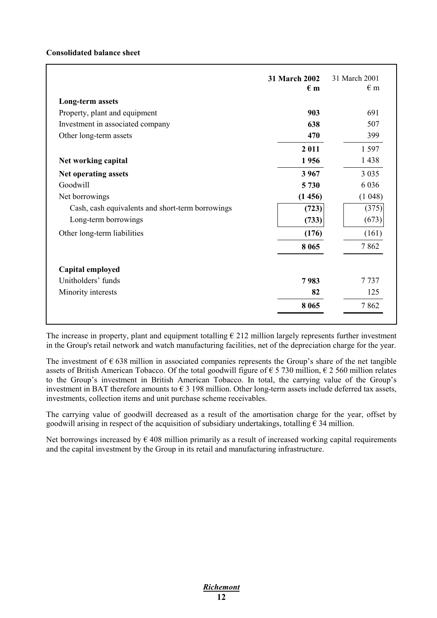#### **Consolidated balance sheet**

|                                                  | <b>31 March 2002</b><br>$\epsilon$ m | 31 March 2001<br>$\epsilon$ m |
|--------------------------------------------------|--------------------------------------|-------------------------------|
| Long-term assets                                 |                                      |                               |
| Property, plant and equipment                    | 903                                  | 691                           |
| Investment in associated company                 | 638                                  | 507                           |
| Other long-term assets                           | 470                                  | 399                           |
|                                                  | 2011                                 | 1 5 9 7                       |
| Net working capital                              | 1956                                 | 1438                          |
| Net operating assets                             | 3967                                 | 3 0 3 5                       |
| Goodwill                                         | 5 730                                | 6 0 3 6                       |
| Net borrowings                                   | (1456)                               | (1048)                        |
| Cash, cash equivalents and short-term borrowings | (723)                                | (375)                         |
| Long-term borrowings                             | (733)                                | (673)                         |
| Other long-term liabilities                      | (176)                                | (161)                         |
|                                                  | 8 0 6 5                              | 7862                          |
| Capital employed                                 |                                      |                               |
| Unitholders' funds                               | 7983                                 | 7 7 3 7                       |
| Minority interests                               | 82                                   | 125                           |
|                                                  | 8 0 6 5                              | 7862                          |

The increase in property, plant and equipment totalling  $\epsilon$  212 million largely represents further investment in the Group's retail network and watch manufacturing facilities, net of the depreciation charge for the year.

The investment of  $\epsilon$  638 million in associated companies represents the Group's share of the net tangible assets of British American Tobacco. Of the total goodwill figure of  $\epsilon$  5 730 million,  $\epsilon$  2 560 million relates to the Group's investment in British American Tobacco. In total, the carrying value of the Group's investment in BAT therefore amounts to  $\epsilon$  3 198 million. Other long-term assets include deferred tax assets, investments, collection items and unit purchase scheme receivables.

The carrying value of goodwill decreased as a result of the amortisation charge for the year, offset by goodwill arising in respect of the acquisition of subsidiary undertakings, totalling  $\epsilon$  34 million.

Net borrowings increased by  $\epsilon$  408 million primarily as a result of increased working capital requirements and the capital investment by the Group in its retail and manufacturing infrastructure.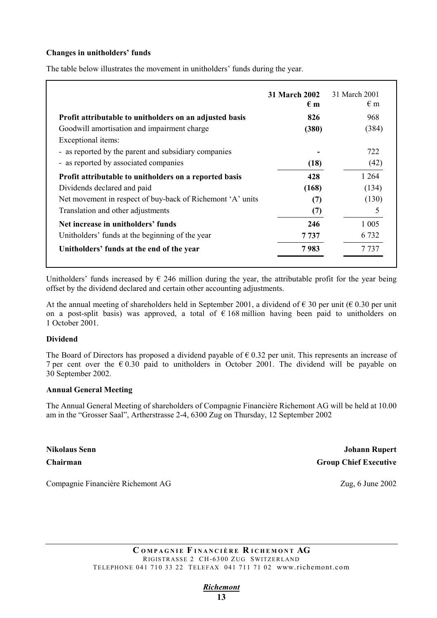#### **Changes in unitholders' funds**

|                                                            | 31 March 2002<br>$\epsilon$ m | 31 March 2001<br>$\epsilon$ m |
|------------------------------------------------------------|-------------------------------|-------------------------------|
| Profit attributable to unitholders on an adjusted basis    | 826                           | 968                           |
| Goodwill amortisation and impairment charge                | (380)                         | (384)                         |
| Exceptional items:                                         |                               |                               |
| - as reported by the parent and subsidiary companies       |                               | 722                           |
| - as reported by associated companies                      | (18)                          | (42)                          |
| Profit attributable to unitholders on a reported basis     | 428                           | 1 2 6 4                       |
| Dividends declared and paid                                | (168)                         | (134)                         |
| Net movement in respect of buy-back of Richemont 'A' units | (7)                           | (130)                         |
| Translation and other adjustments                          | (7)                           | 5                             |
| Net increase in unitholders' funds                         | 246                           | 1 0 0 5                       |
| Unitholders' funds at the beginning of the year            | 7 737                         | 6 7 3 2                       |
| Unitholders' funds at the end of the year                  | 7983                          | 7 737                         |

The table below illustrates the movement in unitholders' funds during the year.

Unitholders' funds increased by  $\epsilon$  246 million during the year, the attributable profit for the year being offset by the dividend declared and certain other accounting adjustments.

At the annual meeting of shareholders held in September 2001, a dividend of  $\epsilon$  30 per unit ( $\epsilon$  0.30 per unit on a post-split basis) was approved, a total of  $\epsilon$  168 million having been paid to unitholders on 1 October 2001.

#### **Dividend**

The Board of Directors has proposed a dividend payable of  $\epsilon$  0.32 per unit. This represents an increase of 7 per cent over the  $\epsilon$  0.30 paid to unitholders in October 2001. The dividend will be payable on 30 September 2002.

#### **Annual General Meeting**

The Annual General Meeting of shareholders of Compagnie Financière Richemont AG will be held at 10.00 am in the "Grosser Saal", Artherstrasse 2-4, 6300 Zug on Thursday, 12 September 2002

**Nikolaus Senn Johann Rupert Chairman** Group Chief Executive

Compagnie Financière Richemont AG Zug, 6 June 2002

*Richemont*  **13**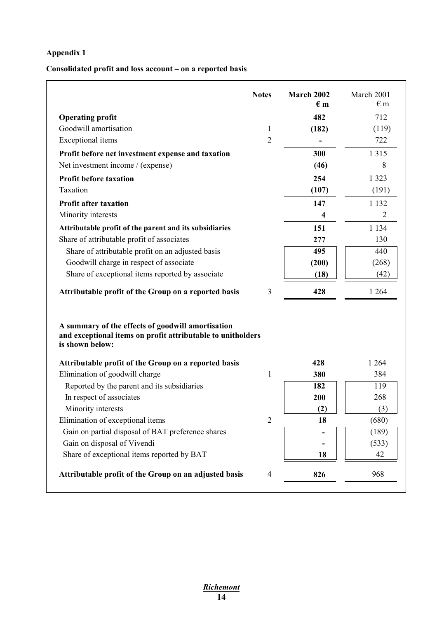# **Appendix 1**

## **Consolidated profit and loss account – on a reported basis**

|                                                                                                                                     | <b>Notes</b>   | <b>March 2002</b><br>$\epsilon$ m | March 2001<br>$\epsilon$ m |
|-------------------------------------------------------------------------------------------------------------------------------------|----------------|-----------------------------------|----------------------------|
| <b>Operating profit</b>                                                                                                             |                | 482                               | 712                        |
| Goodwill amortisation                                                                                                               | 1              | (182)                             | (119)                      |
| Exceptional items                                                                                                                   | $\overline{2}$ |                                   | 722                        |
| Profit before net investment expense and taxation                                                                                   |                | 300                               | 1 3 1 5                    |
| Net investment income / (expense)                                                                                                   |                | (46)                              | 8                          |
| <b>Profit before taxation</b>                                                                                                       |                | 254                               | 1 3 2 3                    |
| Taxation                                                                                                                            |                | (107)                             | (191)                      |
| <b>Profit after taxation</b>                                                                                                        |                | 147                               | 1 1 3 2                    |
| Minority interests                                                                                                                  |                | 4                                 | 2                          |
| Attributable profit of the parent and its subsidiaries                                                                              |                | 151                               | 1 1 3 4                    |
| Share of attributable profit of associates                                                                                          |                | 277                               | 130                        |
| Share of attributable profit on an adjusted basis                                                                                   |                | 495                               | 440                        |
| Goodwill charge in respect of associate                                                                                             |                | (200)                             | (268)                      |
| Share of exceptional items reported by associate                                                                                    |                | (18)                              | (42)                       |
| Attributable profit of the Group on a reported basis                                                                                | 3              | 428                               | 1 2 6 4                    |
| A summary of the effects of goodwill amortisation<br>and exceptional items on profit attributable to unitholders<br>is shown below: |                |                                   |                            |
| Attributable profit of the Group on a reported basis                                                                                |                | 428                               | 1 2 6 4                    |
| Elimination of goodwill charge                                                                                                      | $\mathbf{1}$   | 380                               | 384                        |
| Reported by the parent and its subsidiaries                                                                                         |                | 182                               | 119                        |
| In respect of associates                                                                                                            |                | 200                               | 268                        |
| Minority interests                                                                                                                  |                | (2)                               | (3)                        |
| Elimination of exceptional items                                                                                                    | $\overline{2}$ | 18                                | (680)                      |
| Gain on partial disposal of BAT preference shares                                                                                   |                |                                   | (189)                      |
| Gain on disposal of Vivendi                                                                                                         |                |                                   | (533)                      |
| Share of exceptional items reported by BAT                                                                                          |                | 18                                | 42                         |
| Attributable profit of the Group on an adjusted basis                                                                               | $\overline{4}$ | 826                               | 968                        |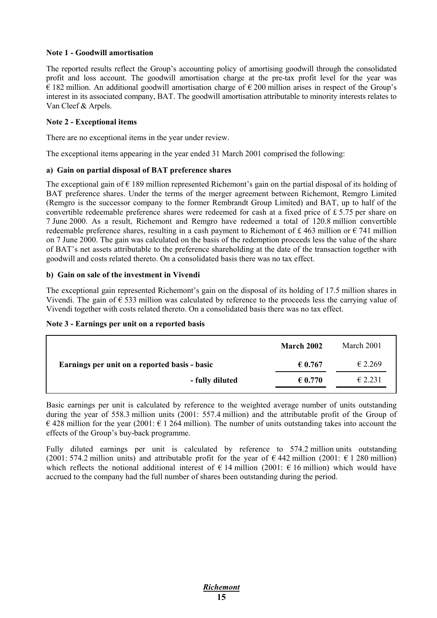#### **Note 1 - Goodwill amortisation**

The reported results reflect the Group's accounting policy of amortising goodwill through the consolidated profit and loss account. The goodwill amortisation charge at the pre-tax profit level for the year was  $\epsilon$  182 million. An additional goodwill amortisation charge of  $\epsilon$  200 million arises in respect of the Group's interest in its associated company, BAT. The goodwill amortisation attributable to minority interests relates to Van Cleef & Arpels.

#### **Note 2 - Exceptional items**

There are no exceptional items in the year under review.

The exceptional items appearing in the year ended 31 March 2001 comprised the following:

#### **a) Gain on partial disposal of BAT preference shares**

The exceptional gain of  $\epsilon$  189 million represented Richemont's gain on the partial disposal of its holding of BAT preference shares. Under the terms of the merger agreement between Richemont, Remgro Limited (Remgro is the successor company to the former Rembrandt Group Limited) and BAT, up to half of the convertible redeemable preference shares were redeemed for cash at a fixed price of £ 5.75 per share on 7 June 2000. As a result, Richemont and Remgro have redeemed a total of 120.8 million convertible redeemable preference shares, resulting in a cash payment to Richemont of £463 million or  $\epsilon$  741 million on 7 June 2000. The gain was calculated on the basis of the redemption proceeds less the value of the share of BAT's net assets attributable to the preference shareholding at the date of the transaction together with goodwill and costs related thereto. On a consolidated basis there was no tax effect.

#### **b) Gain on sale of the investment in Vivendi**

The exceptional gain represented Richemont's gain on the disposal of its holding of 17.5 million shares in Vivendi. The gain of  $\epsilon$  533 million was calculated by reference to the proceeds less the carrying value of Vivendi together with costs related thereto. On a consolidated basis there was no tax effect.

|  | Note 3 - Earnings per unit on a reported basis |  |
|--|------------------------------------------------|--|
|  |                                                |  |

|                                               | <b>March 2002</b> | March 2001       |
|-----------------------------------------------|-------------------|------------------|
| Earnings per unit on a reported basis - basic | € 0.767           | € 2.269          |
| - fully diluted                               | € 0.770           | $\epsilon$ 2.231 |

Basic earnings per unit is calculated by reference to the weighted average number of units outstanding during the year of 558.3 million units (2001: 557.4 million) and the attributable profit of the Group of  $\epsilon$  428 million for the year (2001:  $\epsilon$  1 264 million). The number of units outstanding takes into account the effects of the Group's buy-back programme.

Fully diluted earnings per unit is calculated by reference to 574.2 million units outstanding (2001: 574.2 million units) and attributable profit for the year of  $\epsilon$  442 million (2001:  $\epsilon$  1 280 million) which reflects the notional additional interest of  $\epsilon$  14 million (2001:  $\epsilon$  16 million) which would have accrued to the company had the full number of shares been outstanding during the period.